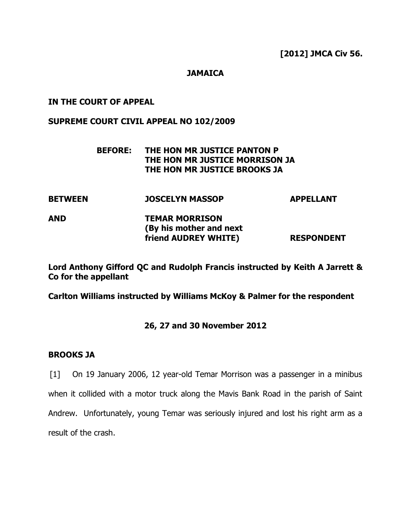**[2012] JMCA Civ 56.**

## **JAMAICA**

#### **IN THE COURT OF APPEAL**

#### **SUPREME COURT CIVIL APPEAL NO 102/2009**

# **BEFORE: THE HON MR JUSTICE PANTON P THE HON MR JUSTICE MORRISON JA THE HON MR JUSTICE BROOKS JA**

**BETWEEN JOSCELYN MASSOP APPELLANT AND TEMAR MORRISON (By his mother and next friend AUDREY WHITE) RESPONDENT**

**Lord Anthony Gifford QC and Rudolph Francis instructed by Keith A Jarrett & Co for the appellant**

**Carlton Williams instructed by Williams McKoy & Palmer for the respondent**

# **26, 27 and 30 November 2012**

## **BROOKS JA**

[1] On 19 January 2006, 12 year-old Temar Morrison was a passenger in a minibus when it collided with a motor truck along the Mavis Bank Road in the parish of Saint Andrew. Unfortunately, young Temar was seriously injured and lost his right arm as a result of the crash.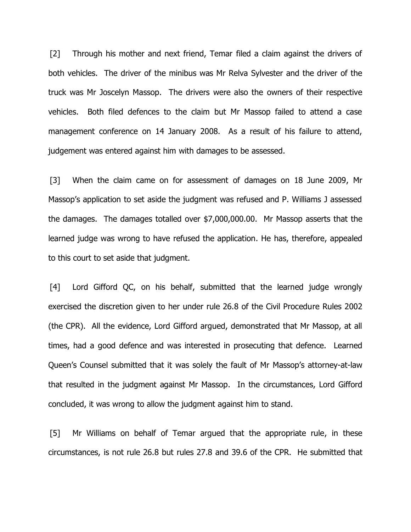[2] Through his mother and next friend, Temar filed a claim against the drivers of both vehicles. The driver of the minibus was Mr Relva Sylvester and the driver of the truck was Mr Joscelyn Massop. The drivers were also the owners of their respective vehicles. Both filed defences to the claim but Mr Massop failed to attend a case management conference on 14 January 2008. As a result of his failure to attend, judgement was entered against him with damages to be assessed.

[3] When the claim came on for assessment of damages on 18 June 2009, Mr Massop's application to set aside the judgment was refused and P. Williams J assessed the damages. The damages totalled over \$7,000,000.00. Mr Massop asserts that the learned judge was wrong to have refused the application. He has, therefore, appealed to this court to set aside that judgment.

[4] Lord Gifford QC, on his behalf, submitted that the learned judge wrongly exercised the discretion given to her under rule 26.8 of the Civil Procedure Rules 2002 (the CPR). All the evidence, Lord Gifford argued, demonstrated that Mr Massop, at all times, had a good defence and was interested in prosecuting that defence. Learned Queen's Counsel submitted that it was solely the fault of Mr Massop's attorney-at-law that resulted in the judgment against Mr Massop. In the circumstances, Lord Gifford concluded, it was wrong to allow the judgment against him to stand.

[5] Mr Williams on behalf of Temar argued that the appropriate rule, in these circumstances, is not rule 26.8 but rules 27.8 and 39.6 of the CPR. He submitted that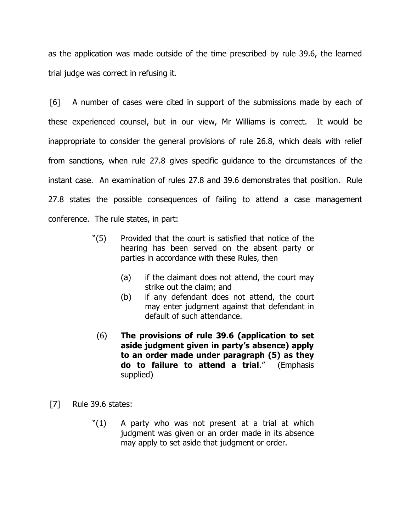as the application was made outside of the time prescribed by rule 39.6, the learned trial judge was correct in refusing it.

[6] A number of cases were cited in support of the submissions made by each of these experienced counsel, but in our view, Mr Williams is correct. It would be inappropriate to consider the general provisions of rule 26.8, which deals with relief from sanctions, when rule 27.8 gives specific guidance to the circumstances of the instant case. An examination of rules 27.8 and 39.6 demonstrates that position. Rule 27.8 states the possible consequences of failing to attend a case management conference. The rule states, in part:

- "(5) Provided that the court is satisfied that notice of the hearing has been served on the absent party or parties in accordance with these Rules, then
	- (a) if the claimant does not attend, the court may strike out the claim; and
	- (b) if any defendant does not attend, the court may enter judgment against that defendant in default of such attendance.
- (6) **The provisions of rule 39.6 (application to set aside judgment given in party's absence) apply to an order made under paragraph (5) as they do to failure to attend a trial**." (Emphasis supplied)
- [7] Rule 39.6 states:
	- "(1) A party who was not present at a trial at which judgment was given or an order made in its absence may apply to set aside that judgment or order.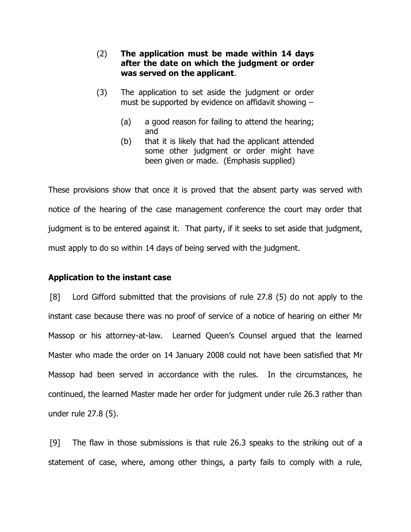- (2) **The application must be made within 14 days after the date on which the judgment or order was served on the applicant**.
- (3) The application to set aside the judgment or order must be supported by evidence on affidavit showing –
	- (a) a good reason for failing to attend the hearing; and
	- (b) that it is likely that had the applicant attended some other judgment or order might have been given or made. (Emphasis supplied)

These provisions show that once it is proved that the absent party was served with notice of the hearing of the case management conference the court may order that judgment is to be entered against it. That party, if it seeks to set aside that judgment, must apply to do so within 14 days of being served with the judgment.

# **Application to the instant case**

[8] Lord Gifford submitted that the provisions of rule 27.8 (5) do not apply to the instant case because there was no proof of service of a notice of hearing on either Mr Massop or his attorney-at-law. Learned Queen's Counsel argued that the learned Master who made the order on 14 January 2008 could not have been satisfied that Mr Massop had been served in accordance with the rules. In the circumstances, he continued, the learned Master made her order for judgment under rule 26.3 rather than under rule 27.8 (5).

[9] The flaw in those submissions is that rule 26.3 speaks to the striking out of a statement of case, where, among other things, a party fails to comply with a rule,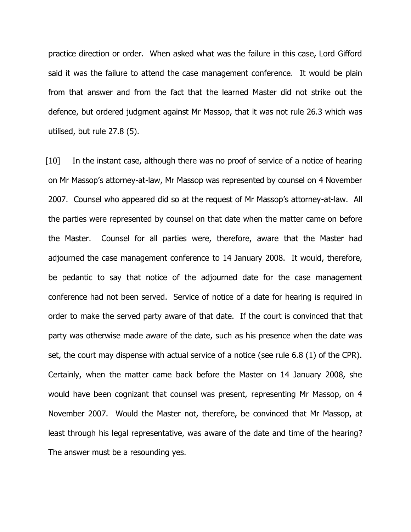practice direction or order. When asked what was the failure in this case, Lord Gifford said it was the failure to attend the case management conference. It would be plain from that answer and from the fact that the learned Master did not strike out the defence, but ordered judgment against Mr Massop, that it was not rule 26.3 which was utilised, but rule 27.8 (5).

[10] In the instant case, although there was no proof of service of a notice of hearing on Mr Massop's attorney-at-law, Mr Massop was represented by counsel on 4 November 2007. Counsel who appeared did so at the request of Mr Massop's attorney-at-law. All the parties were represented by counsel on that date when the matter came on before the Master. Counsel for all parties were, therefore, aware that the Master had adjourned the case management conference to 14 January 2008. It would, therefore, be pedantic to say that notice of the adjourned date for the case management conference had not been served. Service of notice of a date for hearing is required in order to make the served party aware of that date. If the court is convinced that that party was otherwise made aware of the date, such as his presence when the date was set, the court may dispense with actual service of a notice (see rule 6.8 (1) of the CPR). Certainly, when the matter came back before the Master on 14 January 2008, she would have been cognizant that counsel was present, representing Mr Massop, on 4 November 2007. Would the Master not, therefore, be convinced that Mr Massop, at least through his legal representative, was aware of the date and time of the hearing? The answer must be a resounding yes.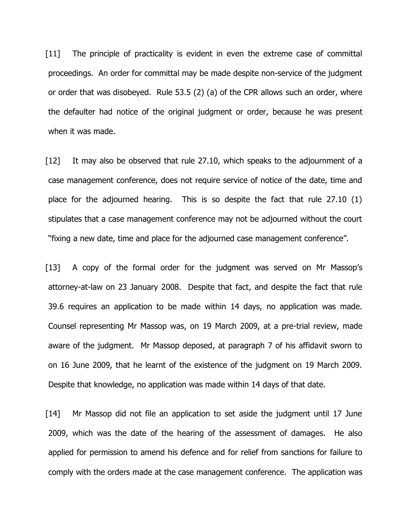[11] The principle of practicality is evident in even the extreme case of committal proceedings. An order for committal may be made despite non-service of the judgment or order that was disobeyed. Rule 53.5 (2) (a) of the CPR allows such an order, where the defaulter had notice of the original judgment or order, because he was present when it was made.

[12] It may also be observed that rule 27.10, which speaks to the adjournment of a case management conference, does not require service of notice of the date, time and place for the adjourned hearing. This is so despite the fact that rule 27.10 (1) stipulates that a case management conference may not be adjourned without the court "fixing a new date, time and place for the adjourned case management conference".

[13] A copy of the formal order for the judgment was served on Mr Massop's attorney-at-law on 23 January 2008. Despite that fact, and despite the fact that rule 39.6 requires an application to be made within 14 days, no application was made. Counsel representing Mr Massop was, on 19 March 2009, at a pre-trial review, made aware of the judgment. Mr Massop deposed, at paragraph 7 of his affidavit sworn to on 16 June 2009, that he learnt of the existence of the judgment on 19 March 2009. Despite that knowledge, no application was made within 14 days of that date.

[14] Mr Massop did not file an application to set aside the judgment until 17 June 2009, which was the date of the hearing of the assessment of damages. He also applied for permission to amend his defence and for relief from sanctions for failure to comply with the orders made at the case management conference. The application was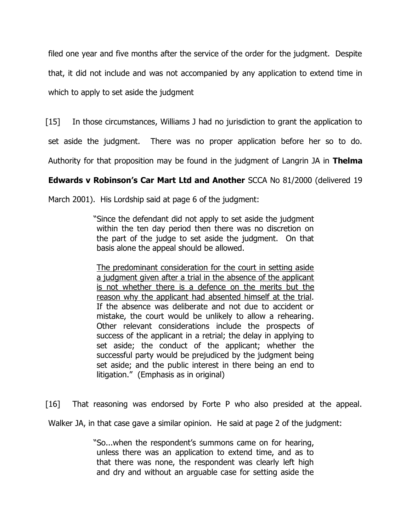filed one year and five months after the service of the order for the judgment. Despite that, it did not include and was not accompanied by any application to extend time in which to apply to set aside the judgment

[15] In those circumstances, Williams J had no jurisdiction to grant the application to

set aside the judgment. There was no proper application before her so to do.

Authority for that proposition may be found in the judgment of Langrin JA in **Thelma** 

# **Edwards v Robinson's Car Mart Ltd and Another** SCCA No 81/2000 (delivered 19

March 2001). His Lordship said at page 6 of the judgment:

"Since the defendant did not apply to set aside the judgment within the ten day period then there was no discretion on the part of the judge to set aside the judgment. On that basis alone the appeal should be allowed.

The predominant consideration for the court in setting aside a judgment given after a trial in the absence of the applicant is not whether there is a defence on the merits but the reason why the applicant had absented himself at the trial. If the absence was deliberate and not due to accident or mistake, the court would be unlikely to allow a rehearing. Other relevant considerations include the prospects of success of the applicant in a retrial; the delay in applying to set aside; the conduct of the applicant; whether the successful party would be prejudiced by the judgment being set aside; and the public interest in there being an end to litigation." (Emphasis as in original)

[16] That reasoning was endorsed by Forte P who also presided at the appeal.

Walker JA, in that case gave a similar opinion. He said at page 2 of the judgment:

"So...when the respondent's summons came on for hearing, unless there was an application to extend time, and as to that there was none, the respondent was clearly left high and dry and without an arguable case for setting aside the